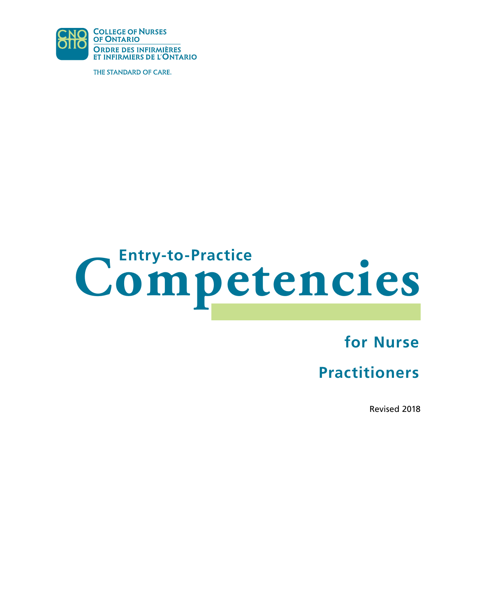

THE STANDARD OF CARE.

# **Competencies Entry-to-Practice**

**for Nurse** 

# **Practitioners**

Revised 2018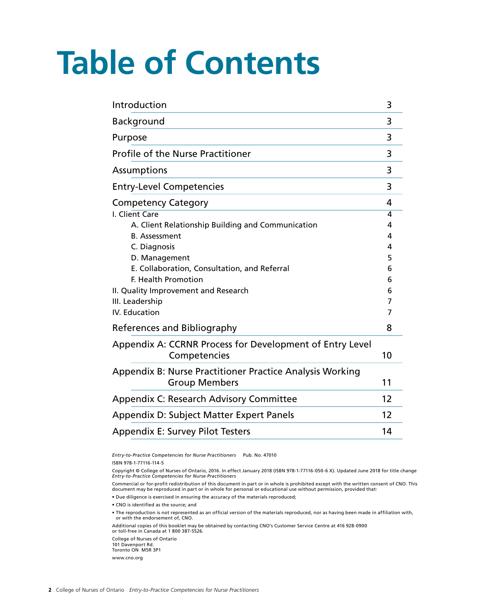# **Table of Contents**

| Introduction                                                                                                                                                                                                                                | 3                                    |
|---------------------------------------------------------------------------------------------------------------------------------------------------------------------------------------------------------------------------------------------|--------------------------------------|
| Background                                                                                                                                                                                                                                  | 3                                    |
| Purpose                                                                                                                                                                                                                                     | 3                                    |
| <b>Profile of the Nurse Practitioner</b>                                                                                                                                                                                                    | 3                                    |
| <b>Assumptions</b>                                                                                                                                                                                                                          | 3                                    |
| <b>Entry-Level Competencies</b>                                                                                                                                                                                                             | 3                                    |
| <b>Competency Category</b>                                                                                                                                                                                                                  | 4                                    |
| I. Client Care<br>A. Client Relationship Building and Communication<br><b>B.</b> Assessment<br>C. Diagnosis<br>D. Management<br>E. Collaboration, Consultation, and Referral<br>F. Health Promotion<br>II. Quality Improvement and Research | 4<br>4<br>4<br>4<br>5<br>6<br>6<br>6 |
| III. Leadership                                                                                                                                                                                                                             | 7                                    |
| <b>IV.</b> Education<br>References and Bibliography                                                                                                                                                                                         | 7<br>8                               |
| Appendix A: CCRNR Process for Development of Entry Level<br>Competencies                                                                                                                                                                    | 10                                   |
| Appendix B: Nurse Practitioner Practice Analysis Working<br><b>Group Members</b>                                                                                                                                                            | 11                                   |
| <b>Appendix C: Research Advisory Committee</b>                                                                                                                                                                                              | 12                                   |
| Appendix D: Subject Matter Expert Panels                                                                                                                                                                                                    | 12                                   |
| <b>Appendix E: Survey Pilot Testers</b>                                                                                                                                                                                                     | 14                                   |

*Entry-to-Practice Competencies for Nurse Practitioners* Pub. No. 47010 ISBN 978-1-77116-114-5

Copyright © College of Nurses of Ontario, 2016. In effect January 2018 (ISBN 978-1-77116-050-6 X). Updated June 2018 for title change *Entry-to-Practice Competencies for Nurse Practitioners* 

Commercial or for-profit redistribution of this document in part or in whole is prohibited except with the written consent of CNO. This document may be reproduced in part or in whole for personal or educational use without permission, provided that:

• Due diligence is exercised in ensuring the accuracy of the materials reproduced;

• CNO is identified as the source; and

• The reproduction is not represented as an official version of the materials reproduced, nor as having been made in affiliation with, or with the endorsement of, CNO.

Additional copies of this booklet may be obtained by contacting CNO's Customer Service Centre at 416 928-0900 or toll-free in Canada at 1 800 387-5526.

College of Nurses of Ontario 101 Davenport Rd. Toronto ON M5R 3P1 www.cno.org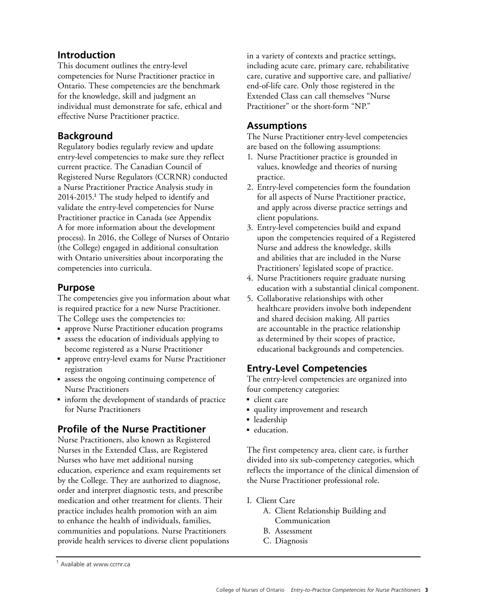# <span id="page-2-0"></span>**Introduction**

This document outlines the entry-level competencies for Nurse Practitioner practice in Ontario. These competencies are the benchmark for the knowledge, skill and judgment an individual must demonstrate for safe, ethical and effective Nurse Practitioner practice.

# **Background**

Regulatory bodies regularly review and update entry-level competencies to make sure they reflect current practice. The Canadian Council of Registered Nurse Regulators (CCRNR) conducted a Nurse Practitioner Practice Analysis study in 2014-2015.1 The study helped to identify and validate the entry-level competencies for Nurse Practitioner practice in Canada (see Appendix A for more information about the development process). In 2016, the College of Nurses of Ontario (the College) engaged in additional consultation with Ontario universities about incorporating the competencies into curricula.

# **Purpose**

The competencies give you information about what is required practice for a new Nurse Practitioner. The College uses the competencies to:

- approve Nurse Practitioner education programs
- assess the education of individuals applying to become registered as a Nurse Practitioner
- approve entry-level exams for Nurse Practitioner registration
- assess the ongoing continuing competence of Nurse Practitioners
- inform the development of standards of practice for Nurse Practitioners

# **Profile of the Nurse Practitioner**

Nurse Practitioners, also known as Registered Nurses in the Extended Class, are Registered Nurses who have met additional nursing education, experience and exam requirements set by the College. They are authorized to diagnose, order and interpret diagnostic tests, and prescribe medication and other treatment for clients. Their practice includes health promotion with an aim to enhance the health of individuals, families, communities and populations. Nurse Practitioners provide health services to diverse client populations in a variety of contexts and practice settings, including acute care, primary care, rehabilitative care, curative and supportive care, and palliative/ end-of-life care. Only those registered in the Extended Class can call themselves "Nurse Practitioner" or the short-form "NP."

### **Assumptions**

The Nurse Practitioner entry-level competencies are based on the following assumptions:

- 1. Nurse Practitioner practice is grounded in values, knowledge and theories of nursing practice.
- 2. Entry-level competencies form the foundation for all aspects of Nurse Practitioner practice, and apply across diverse practice settings and client populations.
- 3. Entry-level competencies build and expand upon the competencies required of a Registered Nurse and address the knowledge, skills and abilities that are included in the Nurse Practitioners' legislated scope of practice.
- 4. Nurse Practitioners require graduate nursing education with a substantial clinical component.
- 5. Collaborative relationships with other healthcare providers involve both independent and shared decision making. All parties are accountable in the practice relationship as determined by their scopes of practice, educational backgrounds and competencies.

# **Entry-Level Competencies**

The entry-level competencies are organized into four competency categories:

- client care
- quality improvement and research
- leadership
- education.

The first competency area, client care, is further divided into six sub-competency categories, which reflects the importance of the clinical dimension of the Nurse Practitioner professional role.

#### I. Client Care

- A. Client Relationship Building and Communication
- B. Assessment
- C. Diagnosis

<sup>1</sup> Available at www.ccrnr.ca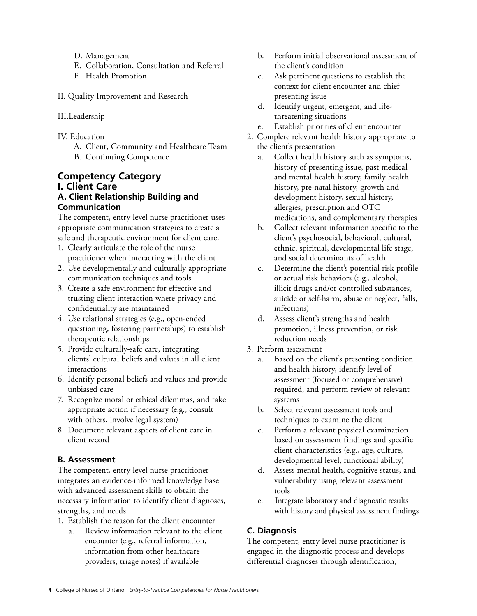- <span id="page-3-0"></span>D. Management
- E. Collaboration, Consultation and Referral
- F. Health Promotion
- II. Quality Improvement and Research
- III.Leadership
- IV. Education
	- A. Client, Community and Healthcare Team B. Continuing Competence

#### **Competency Category I. Client Care A. Client Relationship Building and Communication**

The competent, entry-level nurse practitioner uses appropriate communication strategies to create a safe and therapeutic environment for client care.

- 1. Clearly articulate the role of the nurse practitioner when interacting with the client
- 2. Use developmentally and culturally-appropriate communication techniques and tools
- 3. Create a safe environment for effective and trusting client interaction where privacy and confidentiality are maintained
- 4. Use relational strategies (e.g., open-ended questioning, fostering partnerships) to establish therapeutic relationships
- 5. Provide culturally-safe care, integrating clients' cultural beliefs and values in all client interactions
- 6. Identify personal beliefs and values and provide unbiased care
- 7. Recognize moral or ethical dilemmas, and take appropriate action if necessary (e.g., consult with others, involve legal system)
- 8. Document relevant aspects of client care in client record

#### **B. Assessment**

The competent, entry-level nurse practitioner integrates an evidence-informed knowledge base with advanced assessment skills to obtain the necessary information to identify client diagnoses, strengths, and needs.

- 1. Establish the reason for the client encounter
	- $\overline{a}$ Review information relevant to the client encounter (e.g., referral information, information from other healthcare providers, triage notes) if available
- $\mathbf{b}$ . Perform initial observational assessment of the client's condition
- c. Ask pertinent questions to establish the context for client encounter and chief presenting issue
- d. Identify urgent, emergent, and life threatening situations
- e. Establish priorities of client encounter
- 2. Complete relevant health history appropriate to the client's presentation
	- a. Collect health history such as symptoms, history of presenting issue, past medical and mental health history, family health history, pre-natal history, growth and development history, sexual history, allergies, prescription and OTC medications, and complementary therapies
	- b. Collect relevant information specific to the client's psychosocial, behavioral, cultural, ethnic, spiritual, developmental life stage, and social determinants of health
	- c. Determine the client's potential risk profile or actual risk behaviors (e.g., alcohol, illicit drugs and/or controlled substances, suicide or self-harm, abuse or neglect, falls, infections)
	- d. Assess client's strengths and health promotion, illness prevention, or risk reduction needs
- 3. Perform assessment
	- a. Based on the client's presenting condition and health history, identify level of assessment (focused or comprehensive) required, and perform review of relevant systems
	- b. Select relevant assessment tools and techniques to examine the client
	- c. Perform a relevant physical examination based on assessment findings and specific client characteristics (e.g., age, culture, developmental level, functional ability)
	- d. Assess mental health, cognitive status, and vulnerability using relevant assessment tools
	- e. Integrate laboratory and diagnostic results with history and physical assessment findings

#### **C. Diagnosis**

The competent, entry-level nurse practitioner is engaged in the diagnostic process and develops differential diagnoses through identification,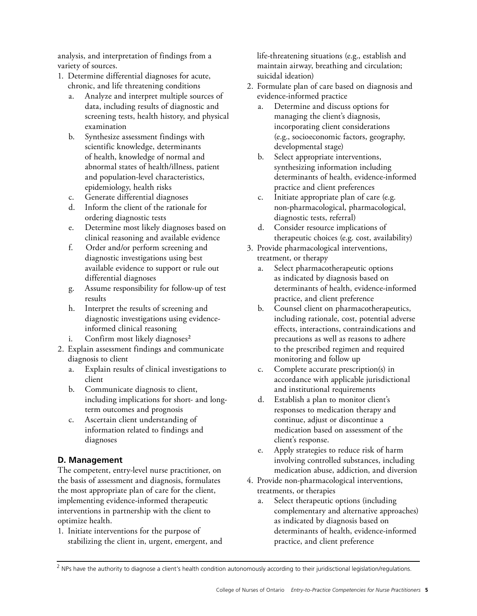<span id="page-4-0"></span>analysis, and interpretation of findings from a variety of sources.

- 1. Determine differential diagnoses for acute, chronic, and life threatening conditions
	- Analyze and interpret multiple sources of data, including results of diagnostic and screening tests, health history, and physical examination
	- b. Synthesize assessment findings with scientific knowledge, determinants of health, knowledge of normal and abnormal states of health/illness, patient and population-level characteristics, epidemiology, health risks
	- c. Generate differential diagnoses
	- d. Inform the client of the rationale for ordering diagnostic tests
	- e. Determine most likely diagnoses based on clinical reasoning and available evidence
	- f. Order and/or perform screening and diagnostic investigations using best available evidence to support or rule out differential diagnoses
	- g. Assume responsibility for follow-up of test results
	- h. Interpret the results of screening and diagnostic investigations using evidenceinformed clinical reasoning
	- Confirm most likely diagnoses $2$
- 2. Explain assessment findings and communicate diagnosis to client
	- a. Explain results of clinical investigations to client
	- b. Communicate diagnosis to client, including implications for short- and longterm outcomes and prognosis
	- c. Ascertain client understanding of information related to findings and diagnoses

#### **D. Management**

The competent, entry-level nurse practitioner, on the basis of assessment and diagnosis, formulates the most appropriate plan of care for the client, implementing evidence-informed therapeutic interventions in partnership with the client to optimize health.

1. Initiate interventions for the purpose of stabilizing the client in, urgent, emergent, and life-threatening situations (e.g., establish and maintain airway, breathing and circulation; suicidal ideation)

- 2. Formulate plan of care based on diagnosis and evidence-informed practice
	- a. Determine and discuss options for managing the client's diagnosis, incorporating client considerations (e.g., socioeconomic factors, geography, developmental stage)
	- b. Select appropriate interventions, synthesizing information including determinants of health, evidence-informed practice and client preferences
	- c. Initiate appropriate plan of care (e.g. non-pharmacological, pharmacological, diagnostic tests, referral)
	- d. Consider resource implications of therapeutic choices (e.g. cost, availability)
- 3. Provide pharmacological interventions, treatment, or therapy
	- a. Select pharmacotherapeutic options as indicated by diagnosis based on determinants of health, evidence-informed practice, and client preference
	- b. Counsel client on pharmacotherapeutics, including rationale, cost, potential adverse effects, interactions, contraindications and precautions as well as reasons to adhere to the prescribed regimen and required monitoring and follow up
	- c. Complete accurate prescription(s) in accordance with applicable jurisdictional and institutional requirements
	- d. Establish a plan to monitor client's responses to medication therapy and continue, adjust or discontinue a medication based on assessment of the client's response.
	- e. Apply strategies to reduce risk of harm involving controlled substances, including medication abuse, addiction, and diversion
- 4. Provide non-pharmacological interventions, treatments, or therapies
	- a. Select therapeutic options (including complementary and alternative approaches) as indicated by diagnosis based on determinants of health, evidence-informed practice, and client preference

<sup>&</sup>lt;sup>2</sup> NPs have the authority to diagnose a client's health condition autonomously according to their juridisctional legislation/regulations.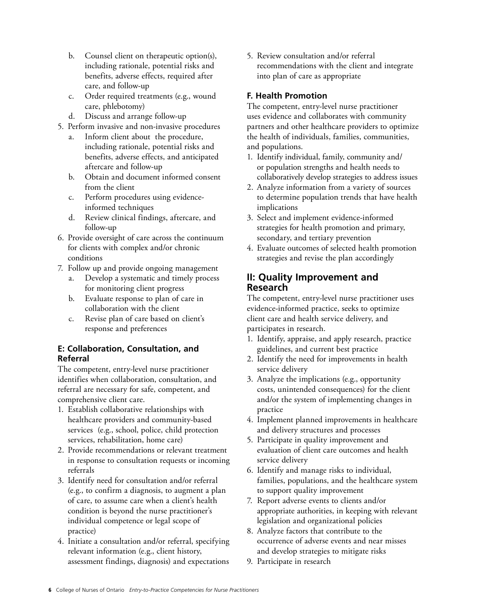- <span id="page-5-0"></span>b. Counsel client on therapeutic option(s), including rationale, potential risks and benefits, adverse effects, required after care, and follow-up
- c. Order required treatments (e.g., wound care, phlebotomy)
- d. Discuss and arrange follow-up
- 5. Perform invasive and non-invasive procedures
	- a. Inform client about the procedure, including rationale, potential risks and benefits, adverse effects, and anticipated aftercare and follow-up
	- b. Obtain and document informed consent from the client
	- c. Perform procedures using evidence informed techniques
	- d. Review clinical findings, aftercare, and follow-up
- 6. Provide oversight of care across the continuum for clients with complex and/or chronic conditions
- 7. Follow up and provide ongoing management
	- Develop a systematic and timely process for monitoring client progress
	- b. Evaluate response to plan of care in collaboration with the client
	- c. Revise plan of care based on client's response and preferences

#### **E: Collaboration, Consultation, and Referral**

The competent, entry-level nurse practitioner identifies when collaboration, consultation, and referral are necessary for safe, competent, and comprehensive client care.

- 1. Establish collaborative relationships with healthcare providers and community-based services (e.g., school, police, child protection services, rehabilitation, home care)
- 2. Provide recommendations or relevant treatment in response to consultation requests or incoming referrals
- 3. Identify need for consultation and/or referral (e.g., to confirm a diagnosis, to augment a plan of care, to assume care when a client's health condition is beyond the nurse practitioner's individual competence or legal scope of practice)
- 4. Initiate a consultation and/or referral, specifying relevant information (e.g., client history, assessment findings, diagnosis) and expectations

5. Review consultation and/or referral recommendations with the client and integrate into plan of care as appropriate

#### **F. Health Promotion**

The competent, entry-level nurse practitioner uses evidence and collaborates with community partners and other healthcare providers to optimize the health of individuals, families, communities, and populations.

- 1. Identify individual, family, community and/ or population strengths and health needs to collaboratively develop strategies to address issues
- 2. Analyze information from a variety of sources to determine population trends that have health implications
- 3. Select and implement evidence-informed strategies for health promotion and primary, secondary, and tertiary prevention
- 4. Evaluate outcomes of selected health promotion strategies and revise the plan accordingly

# **II: Quality Improvement and Research**

The competent, entry-level nurse practitioner uses evidence-informed practice, seeks to optimize client care and health service delivery, and participates in research.

- 1. Identify, appraise, and apply research, practice guidelines, and current best practice
- 2. Identify the need for improvements in health service delivery
- 3. Analyze the implications (e.g., opportunity costs, unintended consequences) for the client and/or the system of implementing changes in practice
- 4. Implement planned improvements in healthcare and delivery structures and processes
- 5. Participate in quality improvement and evaluation of client care outcomes and health service delivery
- 6. Identify and manage risks to individual, families, populations, and the healthcare system to support quality improvement
- 7. Report adverse events to clients and/or appropriate authorities, in keeping with relevant legislation and organizational policies
- 8. Analyze factors that contribute to the occurrence of adverse events and near misses and develop strategies to mitigate risks
- 9. Participate in research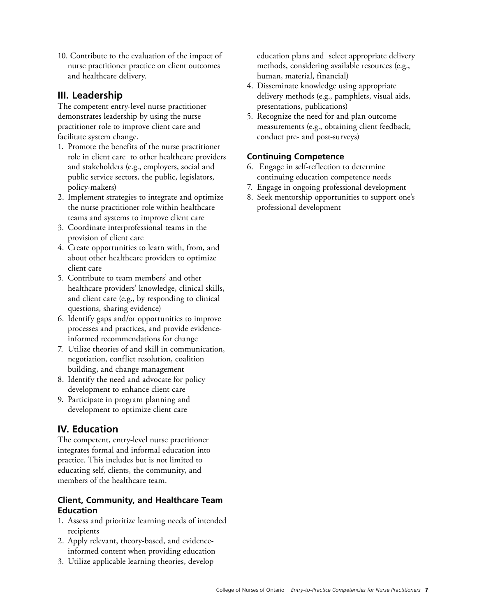<span id="page-6-0"></span>10. Contribute to the evaluation of the impact of nurse practitioner practice on client outcomes and healthcare delivery.

## **III. Leadership**

The competent entry-level nurse practitioner demonstrates leadership by using the nurse practitioner role to improve client care and facilitate system change.

- 1. Promote the benefits of the nurse practitioner role in client care to other healthcare providers and stakeholders (e.g., employers, social and public service sectors, the public, legislators, policy-makers)
- 2. Implement strategies to integrate and optimize the nurse practitioner role within healthcare teams and systems to improve client care
- 3. Coordinate interprofessional teams in the provision of client care
- 4. Create opportunities to learn with, from, and about other healthcare providers to optimize client care
- 5. Contribute to team members' and other healthcare providers' knowledge, clinical skills, and client care (e.g., by responding to clinical questions, sharing evidence)
- 6. Identify gaps and/or opportunities to improve processes and practices, and provide evidenceinformed recommendations for change
- 7. Utilize theories of and skill in communication, negotiation, conflict resolution, coalition building, and change management
- 8. Identify the need and advocate for policy development to enhance client care
- 9. Participate in program planning and development to optimize client care

# **IV. Education**

The competent, entry-level nurse practitioner integrates formal and informal education into practice. This includes but is not limited to educating self, clients, the community, and members of the healthcare team.

#### **Client, Community, and Healthcare Team Education**

- 1. Assess and prioritize learning needs of intended recipients
- 2. Apply relevant, theory-based, and evidenceinformed content when providing education
- 3. Utilize applicable learning theories, develop

education plans and select appropriate delivery methods, considering available resources (e.g., human, material, financial)

- 4. Disseminate knowledge using appropriate delivery methods (e.g., pamphlets, visual aids, presentations, publications)
- 5. Recognize the need for and plan outcome measurements (e.g., obtaining client feedback, conduct pre- and post-surveys)

#### **Continuing Competence**

- 6. Engage in self-reflection to determine continuing education competence needs
- 7. Engage in ongoing professional development
- 8. Seek mentorship opportunities to support one's professional development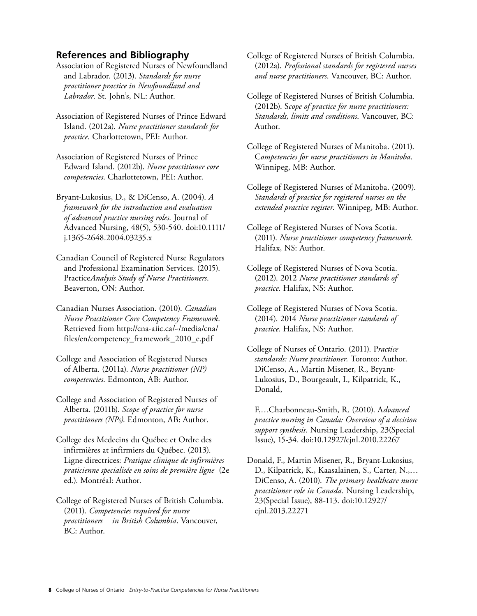#### <span id="page-7-0"></span>**References and Bibliography**

 and Labrador. (2013). *Standards for nurse*  Association of Registered Nurses of Newfoundland *practitioner practice in Newfoundland and Labrador*. St. John's, NL: Author.

- Island. (2012a). *Nurse practitioner standards for practice.* Charlottetown, PEI: Author. Association of Registered Nurses of Prince Edward
- Edward Island. (2012b). *Nurse practitioner core competencies*. Charlottetown, PEI: Author. Association of Registered Nurses of Prince
- Bryant-Lukosius, D., & DiCenso, A. (2004). *A framework for the introduction and evaluation of advanced practice nursing roles.* Journal of Advanced Nursing, 48(5), 530-540. doi:10.1111/ j.1365-2648.2004.03235.x
- Canadian Council of Registered Nurse Regulators and Professional Examination Services. (2015). Practice*Analysis Study of Nurse Practitioners*. Beaverton, ON: Author.
- Canadian Nurses Association. (2010). *Canadian Nurse Practitioner Core Competency Framework*. Retrieved from http://cna-aiic.ca/~/media/cna/ [files/en/competency\\_framework\\_2010\\_e.pdf](http://cna-aiic.ca/~/media/cna/files/en/competency_framework_2010_e.pdf)
- College and Association of Registered Nurses of Alberta. (2011a). *Nurse practitioner (NP) competencies*. Edmonton, AB: Author.
- College and Association of Registered Nurses of Alberta. (2011b). *Scope of practice for nurse practitioners (NPs)*. Edmonton, AB: Author.
- College des Medecins du Québec et Ordre des infirmières at infirmiers du Québec. (2013). Ligne directrices: *Pratique clinique de infirmières praticienne specialisée en soins de première ligne* (2e ed.). Montréal: Author.
- College of Registered Nurses of British Columbia. (2011). *Competencies required for nurse practitioners in British Columbia*. Vancouver, BC: Author.
- College of Registered Nurses of British Columbia. (2012a). *Professional standards for registered nurses and nurse practitioners*. Vancouver, BC: Author.
- College of Registered Nurses of British Columbia. (2012b). S*cope of practice for nurse practitioners: Standards, limits and conditions*. Vancouver, BC: Author.
- College of Registered Nurses of Manitoba. (2011). C*ompetencies for nurse practitioners in Manitoba*. Winnipeg, MB: Author.
- College of Registered Nurses of Manitoba. (2009). *Standards of practice for registered nurses on the extended practice register.* Winnipeg, MB: Author.
- College of Registered Nurses of Nova Scotia. (2011). *Nurse practitioner competency framework.*  Halifax, NS: Author.
- College of Registered Nurses of Nova Scotia. (2012). 2012 *Nurse practitioner standards of practice.* Halifax, NS: Author.
- College of Registered Nurses of Nova Scotia. (2014). 2014 *Nurse practitioner standards of practice.* Halifax, NS: Author.
- College of Nurses of Ontario. (2011). P*ractice standards: Nurse practitioner.* Toronto: Author. DiCenso, A., Martin Misener, R., Bryant-Lukosius, D., Bourgeault, I., Kilpatrick, K., Donald,
	- F,…Charbonneau-Smith, R. (2010). A*dvanced practice nursing in Canada: Overview of a decision support synthesis.* Nursing Leadership, 23(Special Issue), 15-34. doi:10.12927/cjnl.2010.22267
- Donald, F., Martin Misener, R., Bryant-Lukosius, D., Kilpatrick, K., Kaasalainen, S., Carter, N.,… DiCenso, A. (2010). *The primary healthcare nurse practitioner role in Canada.* Nursing Leadership, 23(Special Issue), 88-113. doi:10.12927/ cjnl.2013.22271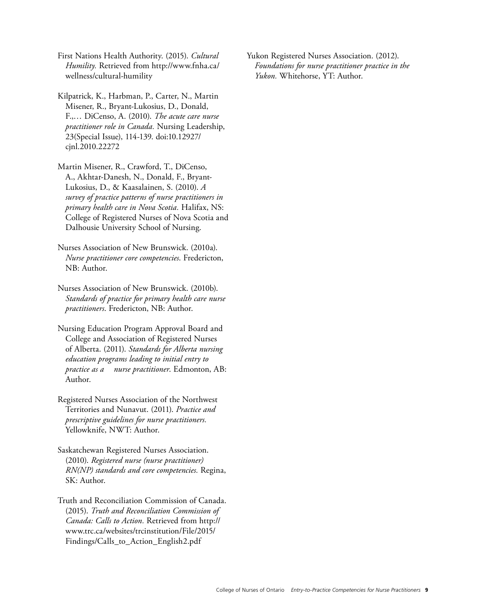First Nations Health Authority. (2015). *Cultural Humility.* Retrieved from http://www.fnha.ca/ [wellness/cultural-humility](http://www.fnha.ca/wellness/cultural-humility) 

Kilpatrick, K., Harbman, P., Carter, N., Martin Misener, R., Bryant-Lukosius, D., Donald, F.,… DiCenso, A. (2010). *The acute care nurse practitioner role in Canada.* Nursing Leadership, 23(Special Issue), 114-139. doi:10.12927/ cjnl.2010.22272

Martin Misener, R., Crawford, T., DiCenso, A., Akhtar-Danesh, N., Donald, F., Bryant-Lukosius, D., & Kaasalainen, S. (2010). *A survey of practice patterns of nurse practitioners in primary health care in Nova Scotia.* Halifax, NS: College of Registered Nurses of Nova Scotia and Dalhousie University School of Nursing.

Nurses Association of New Brunswick. (2010a). *Nurse practitioner core competencies*. Fredericton, NB: Author.

Nurses Association of New Brunswick. (2010b). *Standards of practice for primary health care nurse practitioners*. Fredericton, NB: Author.

- *practice as a nurse practitioner*. Edmonton, AB: Nursing Education Program Approval Board and College and Association of Registered Nurses of Alberta. (2011). *Standards for Alberta nursing education programs leading to initial entry to*  Author.
- Territories and Nunavut. (2011). Practice and Registered Nurses Association of the Northwest prescriptive guidelines for nurse practitioners. Yellowknife, NWT: Author.
- Saskatchewan Registered Nurses Association. (2010). *Registered nurse (nurse practitioner) RN(NP) standards and core competencies.* Regina, SK: Author.
- Truth and Reconciliation Commission of Canada. (2015). *Truth and Reconciliation Commission of Canada: Calls to Action.* Retrieved from [http://](http://www.trc.ca/websites/trcinstitution/File/2015/Findings/Calls_to_Action_English2.pdf)  www.trc.ca/websites/trcinstitution/File/2015/ [Findings/Calls\\_to\\_Action\\_English2.pdf](http://www.trc.ca/websites/trcinstitution/File/2015/Findings/Calls_to_Action_English2.pdf)

Yukon Registered Nurses Association. (2012). *Foundations for nurse practitioner practice in the Yukon.* Whitehorse, YT: Author.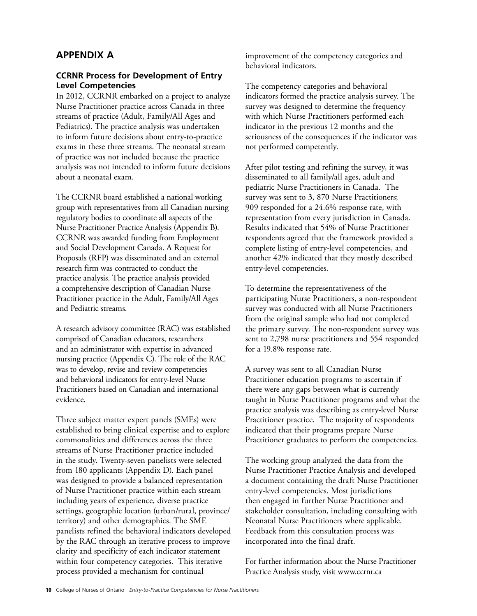# <span id="page-9-0"></span>**APPENDIX A**

#### **CCRNR Process for Development of Entry Level Competencies**

In 2012, CCRNR embarked on a project to analyze Nurse Practitioner practice across Canada in three streams of practice (Adult, Family/All Ages and Pediatrics). The practice analysis was undertaken to inform future decisions about entry-to-practice exams in these three streams. The neonatal stream of practice was not included because the practice analysis was not intended to inform future decisions about a neonatal exam.

The CCRNR board established a national working group with representatives from all Canadian nursing regulatory bodies to coordinate all aspects of the Nurse Practitioner Practice Analysis (Appendix B). CCRNR was awarded funding from Employment and Social Development Canada. A Request for Proposals (RFP) was disseminated and an external research firm was contracted to conduct the practice analysis. The practice analysis provided a comprehensive description of Canadian Nurse Practitioner practice in the Adult, Family/All Ages and Pediatric streams.

A research advisory committee (RAC) was established comprised of Canadian educators, researchers and an administrator with expertise in advanced nursing practice (Appendix C). The role of the RAC was to develop, revise and review competencies and behavioral indicators for entry-level Nurse Practitioners based on Canadian and international evidence.

Three subject matter expert panels (SMEs) were established to bring clinical expertise and to explore commonalities and differences across the three streams of Nurse Practitioner practice included in the study. Twenty-seven panelists were selected from 180 applicants (Appendix D). Each panel was designed to provide a balanced representation of Nurse Practitioner practice within each stream including years of experience, diverse practice settings, geographic location (urban/rural, province/ territory) and other demographics. The SME panelists refined the behavioral indicators developed by the RAC through an iterative process to improve clarity and specificity of each indicator statement within four competency categories. This iterative process provided a mechanism for continual

behavioral indicators. improvement of the competency categories and

The competency categories and behavioral indicators formed the practice analysis survey. The survey was designed to determine the frequency with which Nurse Practitioners performed each indicator in the previous 12 months and the seriousness of the consequences if the indicator was not performed competently.

After pilot testing and refining the survey, it was disseminated to all family/all ages, adult and pediatric Nurse Practitioners in Canada. The survey was sent to 3, 870 Nurse Practitioners; 909 responded for a 24.6% response rate, with representation from every jurisdiction in Canada. Results indicated that 54% of Nurse Practitioner respondents agreed that the framework provided a complete listing of entry-level competencies, and another 42% indicated that they mostly described entry-level competencies.

To determine the representativeness of the participating Nurse Practitioners, a non-respondent survey was conducted with all Nurse Practitioners from the original sample who had not completed the primary survey. The non-respondent survey was sent to 2,798 nurse practitioners and 554 responded for a 19.8% response rate.

A survey was sent to all Canadian Nurse Practitioner education programs to ascertain if there were any gaps between what is currently taught in Nurse Practitioner programs and what the practice analysis was describing as entry-level Nurse Practitioner practice. The majority of respondents indicated that their programs prepare Nurse Practitioner graduates to perform the competencies.

The working group analyzed the data from the Nurse Practitioner Practice Analysis and developed a document containing the draft Nurse Practitioner entry-level competencies. Most jurisdictions then engaged in further Nurse Practitioner and stakeholder consultation, including consulting with Neonatal Nurse Practitioners where applicable. Feedback from this consultation process was incorporated into the final draft.

For further information about the Nurse Practitioner Practice Analysis study, visit www.ccrnr.ca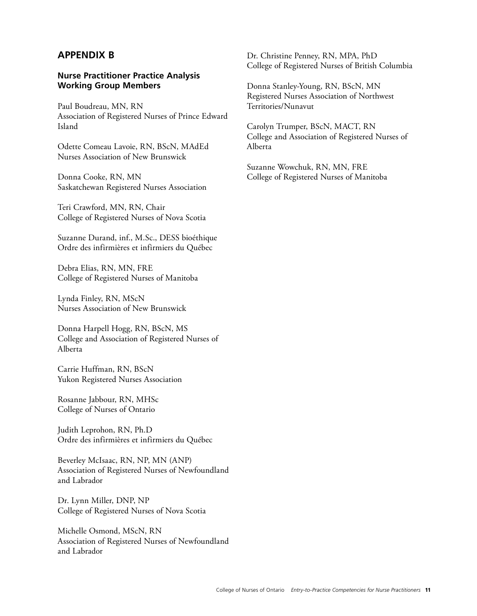#### <span id="page-10-0"></span>**APPENDIX B**

#### **Nurse Practitioner Practice Analysis Working Group Members**

Paul Boudreau, MN, RN Association of Registered Nurses of Prince Edward Island

Odette Comeau Lavoie, RN, BScN, MAdEd Nurses Association of New Brunswick

Donna Cooke, RN, MN Saskatchewan Registered Nurses Association

Teri Crawford, MN, RN, Chair College of Registered Nurses of Nova Scotia

Suzanne Durand, inf., M.Sc., DESS bioéthique Ordre des infirmières et infirmiers du Québec

Debra Elias, RN, MN, FRE College of Registered Nurses of Manitoba

Lynda Finley, RN, MScN Nurses Association of New Brunswick

Donna Harpell Hogg, RN, BScN, MS College and Association of Registered Nurses of Alberta

Carrie Huffman, RN, BScN Yukon Registered Nurses Association

Rosanne Jabbour, RN, MHSc College of Nurses of Ontario

Judith Leprohon, RN, Ph.D Ordre des infirmières et infirmiers du Québec

Beverley McIsaac, RN, NP, MN (ANP) Association of Registered Nurses of Newfoundland and Labrador

Dr. Lynn Miller, DNP, NP College of Registered Nurses of Nova Scotia

Michelle Osmond, MScN, RN Association of Registered Nurses of Newfoundland and Labrador

Dr. Christine Penney, RN, MPA, PhD College of Registered Nurses of British Columbia

Donna Stanley-Young, RN, BScN, MN Registered Nurses Association of Northwest Territories/Nunavut

Carolyn Trumper, BScN, MACT, RN College and Association of Registered Nurses of Alberta

Suzanne Wowchuk, RN, MN, FRE College of Registered Nurses of Manitoba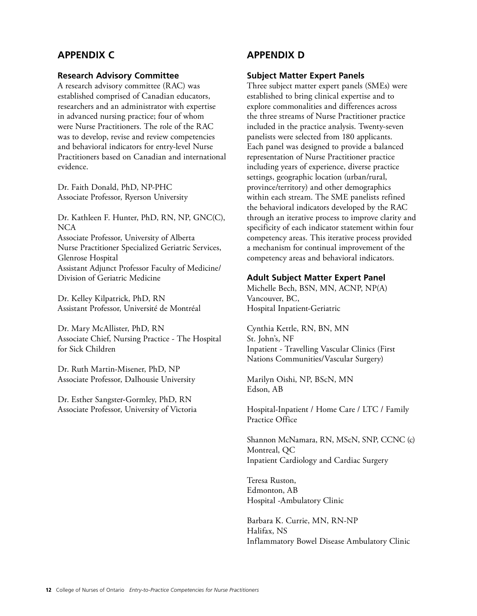# <span id="page-11-0"></span>**APPENDIX C**

#### **Research Advisory Committee**

A research advisory committee (RAC) was established comprised of Canadian educators, researchers and an administrator with expertise in advanced nursing practice; four of whom were Nurse Practitioners. The role of the RAC was to develop, revise and review competencies and behavioral indicators for entry-level Nurse Practitioners based on Canadian and international evidence.

Dr. Faith Donald, PhD, NP-PHC Associate Professor, Ryerson University

Dr. Kathleen F. Hunter, PhD, RN, NP, GNC(C), **NCA** Associate Professor, University of Alberta Nurse Practitioner Specialized Geriatric Services, Glenrose Hospital Assistant Adjunct Professor Faculty of Medicine/ Division of Geriatric Medicine

Dr. Kelley Kilpatrick, PhD, RN Assistant Professor, Université de Montréal

Dr. Mary McAllister, PhD, RN Associate Chief, Nursing Practice - The Hospital for Sick Children

Dr. Ruth Martin-Misener, PhD, NP Associate Professor, Dalhousie University

Dr. Esther Sangster-Gormley, PhD, RN Associate Professor, University of Victoria

# **APPENDIX D**

#### **Subject Matter Expert Panels**

Three subject matter expert panels (SMEs) were established to bring clinical expertise and to explore commonalities and differences across the three streams of Nurse Practitioner practice included in the practice analysis. Twenty-seven panelists were selected from 180 applicants. Each panel was designed to provide a balanced representation of Nurse Practitioner practice including years of experience, diverse practice settings, geographic location (urban/rural, province/territory) and other demographics within each stream. The SME panelists refined the behavioral indicators developed by the RAC through an iterative process to improve clarity and specificity of each indicator statement within four competency areas. This iterative process provided a mechanism for continual improvement of the competency areas and behavioral indicators.

#### **Adult Subject Matter Expert Panel**

Michelle Bech, BSN, MN, ACNP, NP(A) Vancouver, BC, Hospital Inpatient-Geriatric

Cynthia Kettle, RN, BN, MN St. John's, NF Inpatient - Travelling Vascular Clinics (First Nations Communities/Vascular Surgery)

Marilyn Oishi, NP, BScN, MN Edson, AB

Hospital-Inpatient / Home Care / LTC / Family Practice Office

Shannon McNamara, RN, MScN, SNP, CCNC (c) Montreal, QC Inpatient Cardiology and Cardiac Surgery

Teresa Ruston, Edmonton, AB Hospital -Ambulatory Clinic

Barbara K. Currie, MN, RN-NP Halifax, NS Inflammatory Bowel Disease Ambulatory Clinic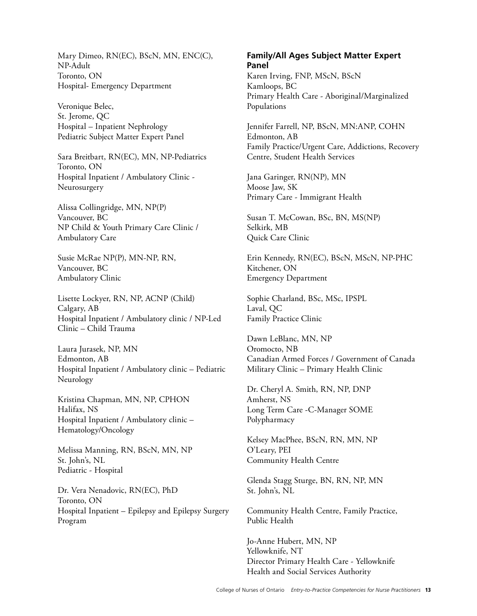Mary Dimeo, RN(EC), BScN, MN, ENC(C), NP-Adult Toronto, ON Hospital- Emergency Department

Veronique Belec, St. Jerome, QC Hospital – Inpatient Nephrology Pediatric Subject Matter Expert Panel

Sara Breitbart, RN(EC), MN, NP-Pediatrics Toronto, ON Hospital Inpatient / Ambulatory Clinic - Neurosurgery

Alissa Collingridge, MN, NP(P) Vancouver, BC NP Child & Youth Primary Care Clinic / Ambulatory Care

Susie McRae NP(P), MN-NP, RN, Vancouver, BC Ambulatory Clinic

Lisette Lockyer, RN, NP, ACNP (Child) Calgary, AB Hospital Inpatient / Ambulatory clinic / NP-Led Clinic – Child Trauma

Laura Jurasek, NP, MN Edmonton, AB Hospital Inpatient / Ambulatory clinic – Pediatric Neurology

Kristina Chapman, MN, NP, CPHON Halifax, NS Hospital Inpatient / Ambulatory clinic – Hematology/Oncology

Melissa Manning, RN, BScN, MN, NP St. John's, NL Pediatric - Hospital

Dr. Vera Nenadovic, RN(EC), PhD Toronto, ON Hospital Inpatient – Epilepsy and Epilepsy Surgery Program

#### **Family/All Ages Subject Matter Expert Panel**

Karen Irving, FNP, MScN, BScN Kamloops, BC Primary Health Care - Aboriginal/Marginalized Populations

Jennifer Farrell, NP, BScN, MN:ANP, COHN Edmonton, AB Family Practice/Urgent Care, Addictions, Recovery Centre, Student Health Services

Jana Garinger, RN(NP), MN Moose Jaw, SK Primary Care - Immigrant Health

Susan T. McCowan, BSc, BN, MS(NP) Selkirk, MB Quick Care Clinic

Erin Kennedy, RN(EC), BScN, MScN, NP-PHC Kitchener, ON Emergency Department

Sophie Charland, BSc, MSc, IPSPL Laval, QC Family Practice Clinic

Dawn LeBlanc, MN, NP Oromocto, NB Canadian Armed Forces / Government of Canada Military Clinic – Primary Health Clinic

Dr. Cheryl A. Smith, RN, NP, DNP Amherst, NS Long Term Care -C-Manager SOME Polypharmacy

Kelsey MacPhee, BScN, RN, MN, NP O'Leary, PEI Community Health Centre

Glenda Stagg Sturge, BN, RN, NP, MN St. John's, NL

Community Health Centre, Family Practice, Public Health

Jo-Anne Hubert, MN, NP Yellowknife, NT Director Primary Health Care - Yellowknife Health and Social Services Authority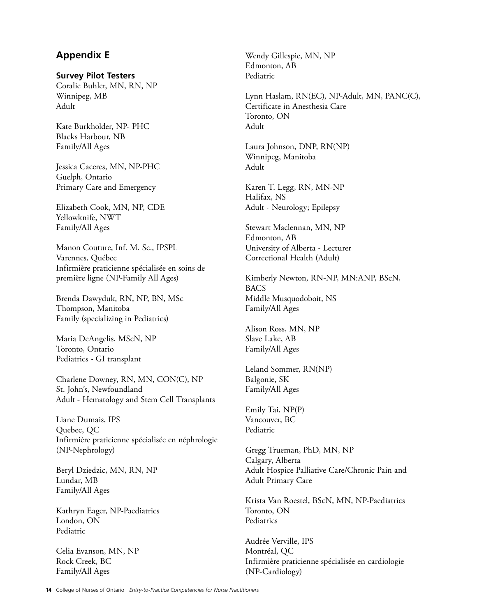# <span id="page-13-0"></span>**Appendix E**

#### **Survey Pilot Testers**

Coralie Buhler, MN, RN, NP Winnipeg, MB Adult

Kate Burkholder, NP- PHC Blacks Harbour, NB Family/All Ages

Jessica Caceres, MN, NP-PHC Guelph, Ontario Primary Care and Emergency

 Elizabeth Cook, MN, NP, CDE Yellowknife, NWT Family/All Ages

Manon Couture, Inf. M. Sc., IPSPL Varennes, Québec Infirmière praticienne spécialisée en soins de première ligne (NP-Family All Ages)

Brenda Dawyduk, RN, NP, BN, MSc Thompson, Manitoba Family (specializing in Pediatrics)

Maria DeAngelis, MScN, NP Toronto, Ontario Pediatrics - GI transplant

Charlene Downey, RN, MN, CON(C), NP St. John's, Newfoundland Adult - Hematology and Stem Cell Transplants

Liane Dumais, IPS Quebec, QC Infirmière praticienne spécialisée en néphrologie (NP-Nephrology)

Beryl Dziedzic, MN, RN, NP Lundar, MB Family/All Ages

Kathryn Eager, NP-Paediatrics London, ON Pediatric

Celia Evanson, MN, NP Rock Creek, BC Family/All Ages

Wendy Gillespie, MN, NP Edmonton, AB Pediatric

Lynn Haslam, RN(EC), NP-Adult, MN, PANC(C), Certificate in Anesthesia Care Toronto, ON Adult

Laura Johnson, DNP, RN(NP) Winnipeg, Manitoba Adult

Karen T. Legg, RN, MN-NP Halifax, NS Adult - Neurology; Epilepsy

Stewart Maclennan, MN, NP Edmonton, AB University of Alberta - Lecturer Correctional Health (Adult)

Kimberly Newton, RN-NP, MN:ANP, BScN, BACS Middle Musquodoboit, NS Family/All Ages

Alison Ross, MN, NP Slave Lake, AB Family/All Ages

Leland Sommer, RN(NP) Balgonie, SK Family/All Ages

Vancouver, BC<br>Pediatric Emily Tai, NP(P)

Gregg Trueman, PhD, MN, NP Calgary, Alberta Adult Hospice Palliative Care/Chronic Pain and Adult Primary Care

Krista Van Roestel, BScN, MN, NP-Paediatrics Toronto, ON Pediatrics

Audrée Verville, IPS Montréal, QC Infirmière praticienne spécialisée en cardiologie (NP-Cardiology)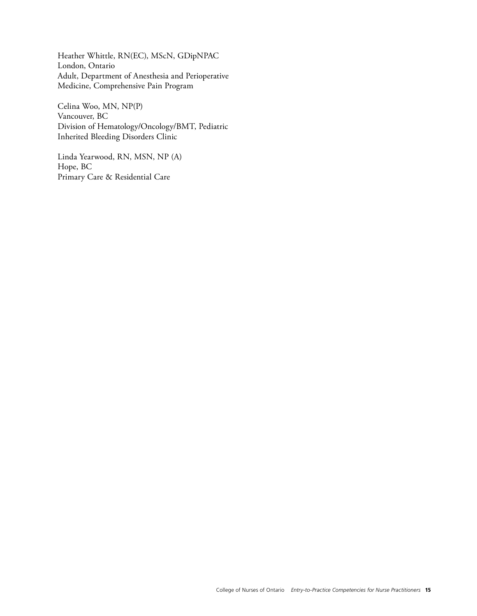Heather Whittle, RN(EC), MScN, GDipNPAC London, Ontario Adult, Department of Anesthesia and Perioperative Medicine, Comprehensive Pain Program

Celina Woo, MN, NP(P) Vancouver, BC Division of Hematology/Oncology/BMT, Pediatric Inherited Bleeding Disorders Clinic

Linda Yearwood, RN, MSN, NP (A) Hope, BC Primary Care & Residential Care